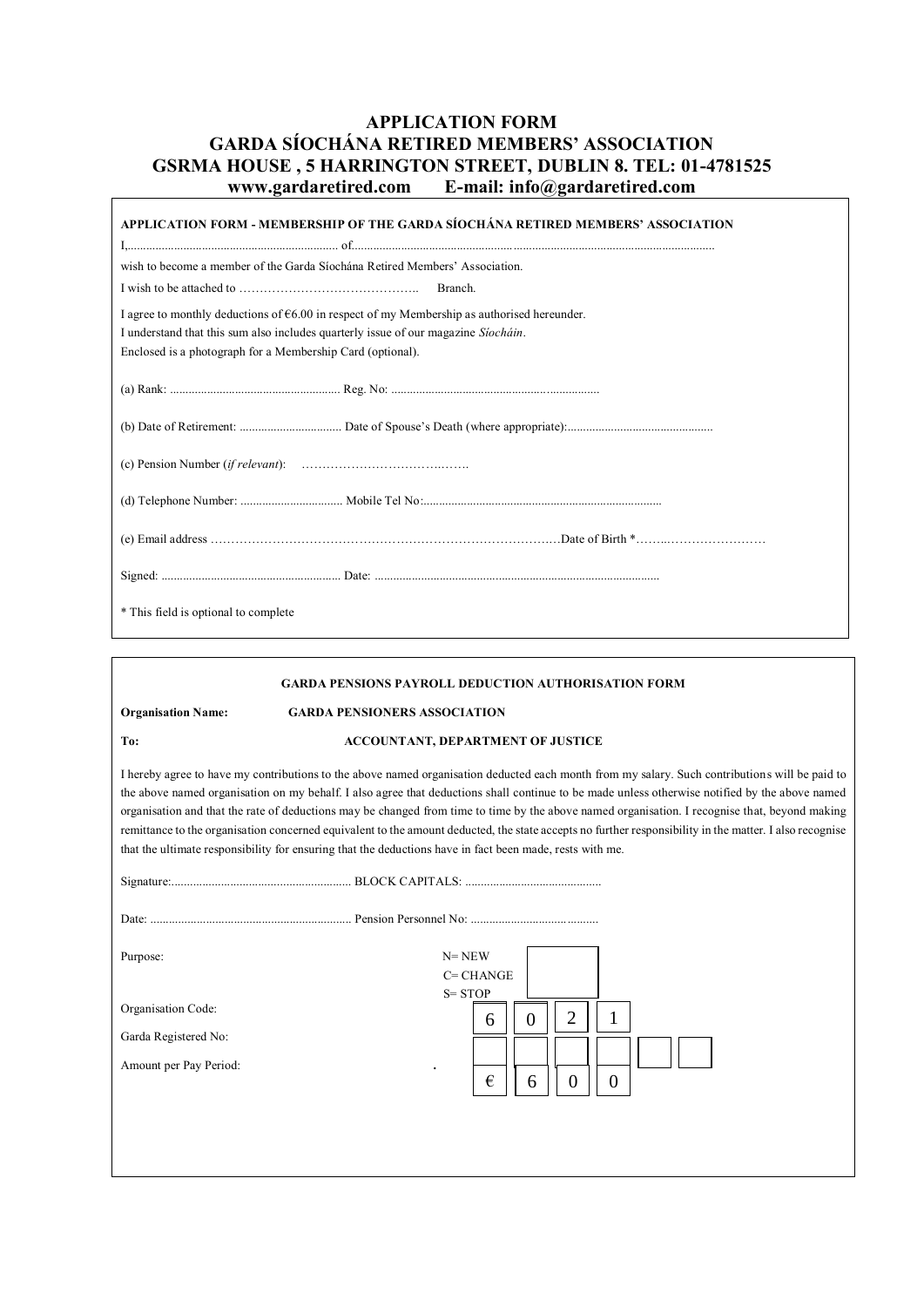# **APPLICATION FORM GARDA SÍOCHÁNA RETIRED MEMBERS' ASSOCIATION GSRMA HOUSE , 5 HARRINGTON STREET, DUBLIN 8. TEL: 01-4781525 www.gardaretired.com E-mail: info@gardaretired.com**

 $\overline{\Gamma}$ 

| APPLICATION FORM - MEMBERSHIP OF THE GARDA SÍOCHÁNA RETIRED MEMBERS' ASSOCIATION              |  |  |
|-----------------------------------------------------------------------------------------------|--|--|
| wish to become a member of the Garda Siochana Retired Members' Association.                   |  |  |
|                                                                                               |  |  |
| I agree to monthly deductions of $66.00$ in respect of my Membership as authorised hereunder. |  |  |
| I understand that this sum also includes quarterly issue of our magazine <i>Stochain</i> .    |  |  |
| Enclosed is a photograph for a Membership Card (optional).                                    |  |  |
|                                                                                               |  |  |
|                                                                                               |  |  |
|                                                                                               |  |  |
|                                                                                               |  |  |
|                                                                                               |  |  |
|                                                                                               |  |  |
| * This field is optional to complete                                                          |  |  |

| <b>GARDA PENSIONS PAYROLL DEDUCTION AUTHORISATION FORM</b>                                                                                                                                                                                                                                                                                                                                                                                                                                                                                                                                                                                                                                                                |                                                                                    |
|---------------------------------------------------------------------------------------------------------------------------------------------------------------------------------------------------------------------------------------------------------------------------------------------------------------------------------------------------------------------------------------------------------------------------------------------------------------------------------------------------------------------------------------------------------------------------------------------------------------------------------------------------------------------------------------------------------------------------|------------------------------------------------------------------------------------|
| <b>Organisation Name:</b>                                                                                                                                                                                                                                                                                                                                                                                                                                                                                                                                                                                                                                                                                                 | <b>GARDA PENSIONERS ASSOCIATION</b>                                                |
| To:                                                                                                                                                                                                                                                                                                                                                                                                                                                                                                                                                                                                                                                                                                                       | <b>ACCOUNTANT, DEPARTMENT OF JUSTICE</b>                                           |
| I hereby agree to have my contributions to the above named organisation deducted each month from my salary. Such contributions will be paid to<br>the above named organisation on my behalf. I also agree that deductions shall continue to be made unless otherwise notified by the above named<br>organisation and that the rate of deductions may be changed from time to time by the above named organisation. I recognise that, beyond making<br>remittance to the organisation concerned equivalent to the amount deducted, the state accepts no further responsibility in the matter. I also recognise<br>that the ultimate responsibility for ensuring that the deductions have in fact been made, rests with me. |                                                                                    |
|                                                                                                                                                                                                                                                                                                                                                                                                                                                                                                                                                                                                                                                                                                                           |                                                                                    |
|                                                                                                                                                                                                                                                                                                                                                                                                                                                                                                                                                                                                                                                                                                                           |                                                                                    |
| Purpose:                                                                                                                                                                                                                                                                                                                                                                                                                                                                                                                                                                                                                                                                                                                  | $N = NEW$<br>$C = CHANGE$                                                          |
| Organisation Code:<br>Garda Registered No:<br>Amount per Pay Period:                                                                                                                                                                                                                                                                                                                                                                                                                                                                                                                                                                                                                                                      | $S = STOP$<br>$\overline{2}$<br>1<br>$\theta$<br>6<br>€<br>$\theta$<br>$_{0}$<br>6 |
|                                                                                                                                                                                                                                                                                                                                                                                                                                                                                                                                                                                                                                                                                                                           |                                                                                    |